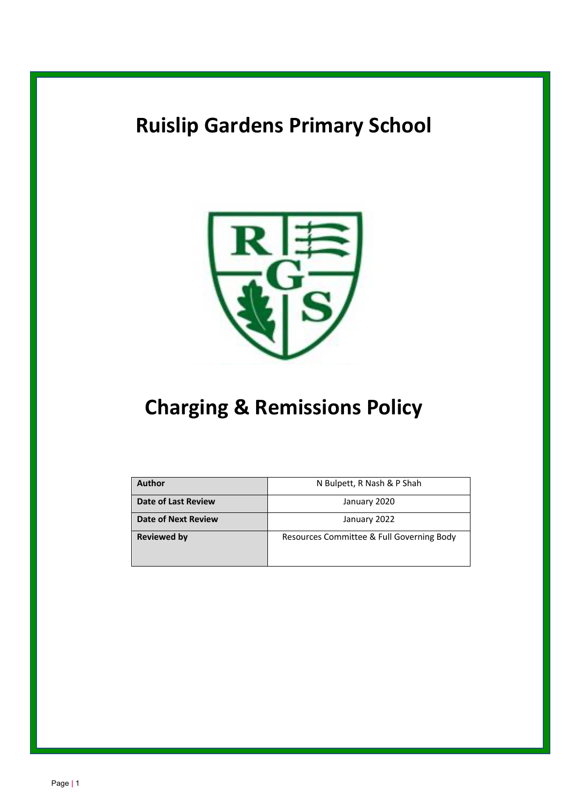# **Ruislip Gardens Primary School**



# **Charging & Remissions Policy**

| <b>Author</b>              | N Bulpett, R Nash & P Shah                |
|----------------------------|-------------------------------------------|
| <b>Date of Last Review</b> | January 2020                              |
| <b>Date of Next Review</b> | January 2022                              |
| <b>Reviewed by</b>         | Resources Committee & Full Governing Body |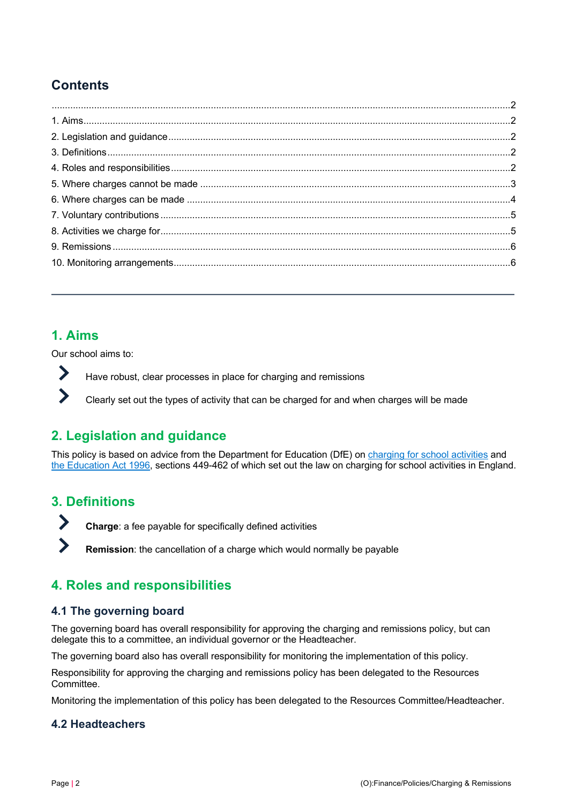# **Contents**

## **1. Aims**

 $\sum_{i=1}^{n}$ 

 $\blacktriangleright$ 

 $\blacktriangleright$ 

 $\sum_{i=1}^{n}$ 

Our school aims to:

Have robust, clear processes in place for charging and remissions

Clearly set out the types of activity that can be charged for and when charges will be made

# **2. Legislation and guidance**

This policy is based on advice from the Department for Education (DfE) on charging for school activities and the Education Act 1996, sections 449-462 of which set out the law on charging for school activities in England.

# **3. Definitions**

**Charge**: a fee payable for specifically defined activities

**Remission**: the cancellation of a charge which would normally be payable

# **4. Roles and responsibilities**

## **4.1 The governing board**

The governing board has overall responsibility for approving the charging and remissions policy, but can delegate this to a committee, an individual governor or the Headteacher.

The governing board also has overall responsibility for monitoring the implementation of this policy.

Responsibility for approving the charging and remissions policy has been delegated to the Resources Committee.

Monitoring the implementation of this policy has been delegated to the Resources Committee/Headteacher.

## **4.2 Headteachers**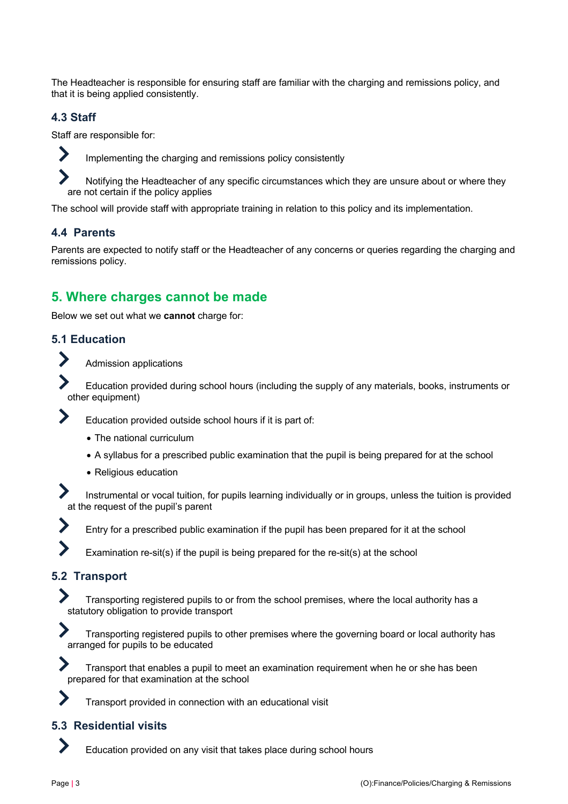The Headteacher is responsible for ensuring staff are familiar with the charging and remissions policy, and that it is being applied consistently.

#### **4.3 Staff**

 $\blacktriangleright$ 

Staff are responsible for:

Implementing the charging and remissions policy consistently

Notifying the Headteacher of any specific circumstances which they are unsure about or where they are not certain if the policy applies

The school will provide staff with appropriate training in relation to this policy and its implementation.

#### **4.4 Parents**

Parents are expected to notify staff or the Headteacher of any concerns or queries regarding the charging and remissions policy.

## **5. Where charges cannot be made**

Below we set out what we **cannot** charge for:

#### **5.1 Education**

Admission applications

Education provided during school hours (including the supply of any materials, books, instruments or other equipment)

Education provided outside school hours if it is part of:

- The national curriculum
- A syllabus for a prescribed public examination that the pupil is being prepared for at the school
- Religious education

Instrumental or vocal tuition, for pupils learning individually or in groups, unless the tuition is provided at the request of the pupil's parent



Entry for a prescribed public examination if the pupil has been prepared for it at the school

Examination re-sit(s) if the pupil is being prepared for the re-sit(s) at the school

## **5.2 Transport**

Transporting registered pupils to or from the school premises, where the local authority has a statutory obligation to provide transport



Transport that enables a pupil to meet an examination requirement when he or she has been prepared for that examination at the school

Transport provided in connection with an educational visit

#### **5.3 Residential visits**

Education provided on any visit that takes place during school hours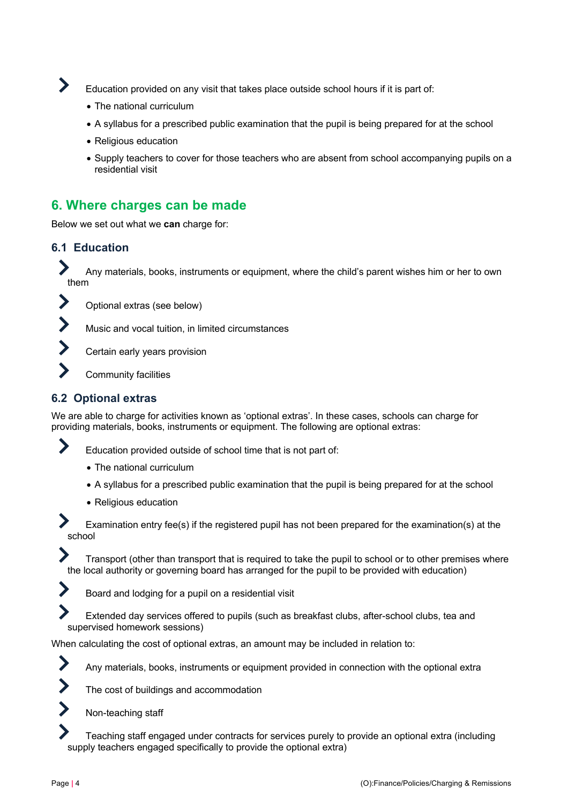

Education provided on any visit that takes place outside school hours if it is part of:

- The national curriculum
- A syllabus for a prescribed public examination that the pupil is being prepared for at the school
- Religious education
- Supply teachers to cover for those teachers who are absent from school accompanying pupils on a residential visit

## **6. Where charges can be made**

Below we set out what we **can** charge for:

#### **6.1 Education**

 $\blacktriangleright$ 

Any materials, books, instruments or equipment, where the child's parent wishes him or her to own them

 $\blacktriangleright$ Optional extras (see below)

Music and vocal tuition, in limited circumstances

- Certain early years provision
- Community facilities

#### **6.2 Optional extras**

We are able to charge for activities known as 'optional extras'. In these cases, schools can charge for providing materials, books, instruments or equipment. The following are optional extras:



- The national curriculum
- A syllabus for a prescribed public examination that the pupil is being prepared for at the school
- Religious education

Examination entry fee(s) if the registered pupil has not been prepared for the examination(s) at the school

Transport (other than transport that is required to take the pupil to school or to other premises where the local authority or governing board has arranged for the pupil to be provided with education)

Board and lodging for a pupil on a residential visit

Extended day services offered to pupils (such as breakfast clubs, after-school clubs, tea and supervised homework sessions)

When calculating the cost of optional extras, an amount may be included in relation to:





Non-teaching staff

Teaching staff engaged under contracts for services purely to provide an optional extra (including supply teachers engaged specifically to provide the optional extra)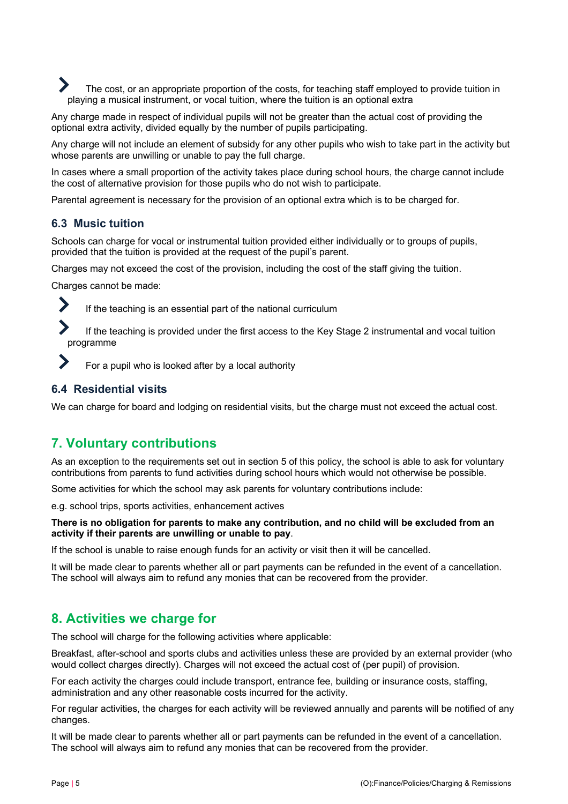The cost, or an appropriate proportion of the costs, for teaching staff employed to provide tuition in playing a musical instrument, or vocal tuition, where the tuition is an optional extra

Any charge made in respect of individual pupils will not be greater than the actual cost of providing the optional extra activity, divided equally by the number of pupils participating.

Any charge will not include an element of subsidy for any other pupils who wish to take part in the activity but whose parents are unwilling or unable to pay the full charge.

In cases where a small proportion of the activity takes place during school hours, the charge cannot include the cost of alternative provision for those pupils who do not wish to participate.

Parental agreement is necessary for the provision of an optional extra which is to be charged for.

#### **6.3 Music tuition**

Schools can charge for vocal or instrumental tuition provided either individually or to groups of pupils, provided that the tuition is provided at the request of the pupil's parent.

Charges may not exceed the cost of the provision, including the cost of the staff giving the tuition.

Charges cannot be made:

If the teaching is an essential part of the national curriculum

If the teaching is provided under the first access to the Key Stage 2 instrumental and vocal tuition programme

For a pupil who is looked after by a local authority

#### **6.4 Residential visits**

We can charge for board and lodging on residential visits, but the charge must not exceed the actual cost.

## **7. Voluntary contributions**

As an exception to the requirements set out in section 5 of this policy, the school is able to ask for voluntary contributions from parents to fund activities during school hours which would not otherwise be possible.

Some activities for which the school may ask parents for voluntary contributions include:

e.g. school trips, sports activities, enhancement actives

#### **There is no obligation for parents to make any contribution, and no child will be excluded from an activity if their parents are unwilling or unable to pay**.

If the school is unable to raise enough funds for an activity or visit then it will be cancelled.

It will be made clear to parents whether all or part payments can be refunded in the event of a cancellation. The school will always aim to refund any monies that can be recovered from the provider.

## **8. Activities we charge for**

The school will charge for the following activities where applicable:

Breakfast, after-school and sports clubs and activities unless these are provided by an external provider (who would collect charges directly). Charges will not exceed the actual cost of (per pupil) of provision.

For each activity the charges could include transport, entrance fee, building or insurance costs, staffing, administration and any other reasonable costs incurred for the activity.

For regular activities, the charges for each activity will be reviewed annually and parents will be notified of any changes.

It will be made clear to parents whether all or part payments can be refunded in the event of a cancellation. The school will always aim to refund any monies that can be recovered from the provider.